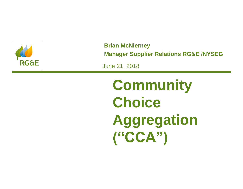

**Brian McNierney Manager Supplier Relations RG&E /NYSEG**

June 21, 2018

**Community Choice Aggregation ("CCA")**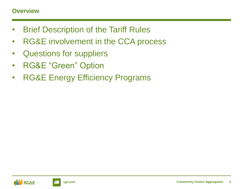### **Overview**

- Brief Description of the Tariff Rules
- RG&E involvement in the CCA process
- Questions for suppliers
- RG&E "Green" Option
- RG&E Energy Efficiency Programs

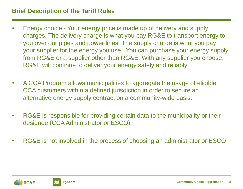# **Brief Description of the Tariff Rules**

- Energy choice Your energy price is made up of delivery and supply charges. The delivery charge is what you pay RG&E to transport energy to you over our pipes and power lines. The supply charge is what you pay your supplier for the energy you use. You can purchase your energy supply from RG&E or a supplier other than RG&E. With any supplier you choose, RG&E will continue to deliver your energy safely and reliably
- A CCA Program allows municipalities to aggregate the usage of eligible CCA customers within a defined jurisdiction in order to secure an alternative energy supply contract on a community-wide basis.
- RG&E is responsible for providing certain data to the municipality or their designee (CCA Administrator or ESCO)
- RG&E is not involved in the process of choosing an administrator or ESCO

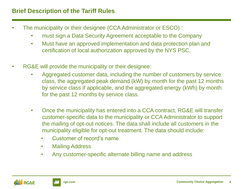- The municipality or their designee (CCA Administrator or ESCO) :
	- must sign a Data Security Agreement acceptable to the Company
	- Must have an approved implementation and data protection plan and certification of local authorization approved by the NYS PSC.
- RG&E will provide the municipality or their designee:
	- Aggregated customer data, including the number of customers by service class, the aggregated peak demand (kW) by month for the past 12 months by service class if applicable, and the aggregated energy (kWh) by month for the past 12 months by service class.
	- Once the municipality has entered into a CCA contract, RG&E will transfer customer-specific data to the municipality or CCA Administrator to support the mailing of opt-out notices. The data shall include all customers in the municipality eligible for opt-out treatment. The data should include:
		- Customer of record's name
		- Mailing Address
		- Any customer-specific alternate billing name and address

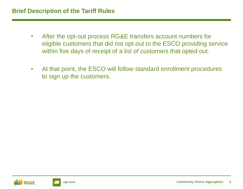#### **Brief Description of the Tariff Rules**

- After the opt-out process RG&E transfers account numbers for eligible customers that did not opt-out to the ESCO providing service within five days of receipt of a list of customers that opted out.
- At that point, the ESCO will follow standard enrollment procedures to sign up the customers.

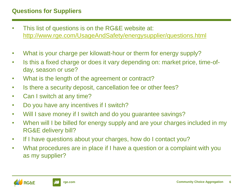## **Questions for Suppliers**

- This list of questions is on the RG&E website at: [http://www.rge.com/UsageAndSafety/energysupplier/questions.html](https://www.rge.com/wps/portal/rge/saveenergy/rebatesandprograms/communitychoiceaggregation/)
- What is your charge per kilowatt-hour or therm for energy supply?
- Is this a fixed charge or does it vary depending on: market price, time-ofday, season or use?
- What is the length of the agreement or contract?
- Is there a security deposit, cancellation fee or other fees?
- Can I switch at any time?
- Do you have any incentives if I switch?
- Will I save money if I switch and do you guarantee savings?
- When will I be billed for energy supply and are your charges included in my RG&E delivery bill?
- If I have questions about your charges, how do I contact you?
- What procedures are in place if I have a question or a complaint with you as my supplier?



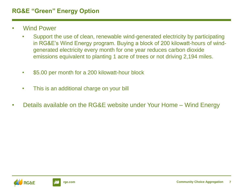## **RG&E "Green" Energy Option**

- Wind Power
	- Support the use of clean, renewable wind-generated electricity by participating in RG&E's Wind Energy program. Buying a block of 200 kilowatt-hours of windgenerated electricity every month for one year reduces carbon dioxide emissions equivalent to planting 1 acre of trees or not driving 2,194 miles.
	- \$5.00 per month for a 200 kilowatt-hour block
	- This is an additional charge on your bill
- Details available on the RG&E website under Your Home Wind Energy